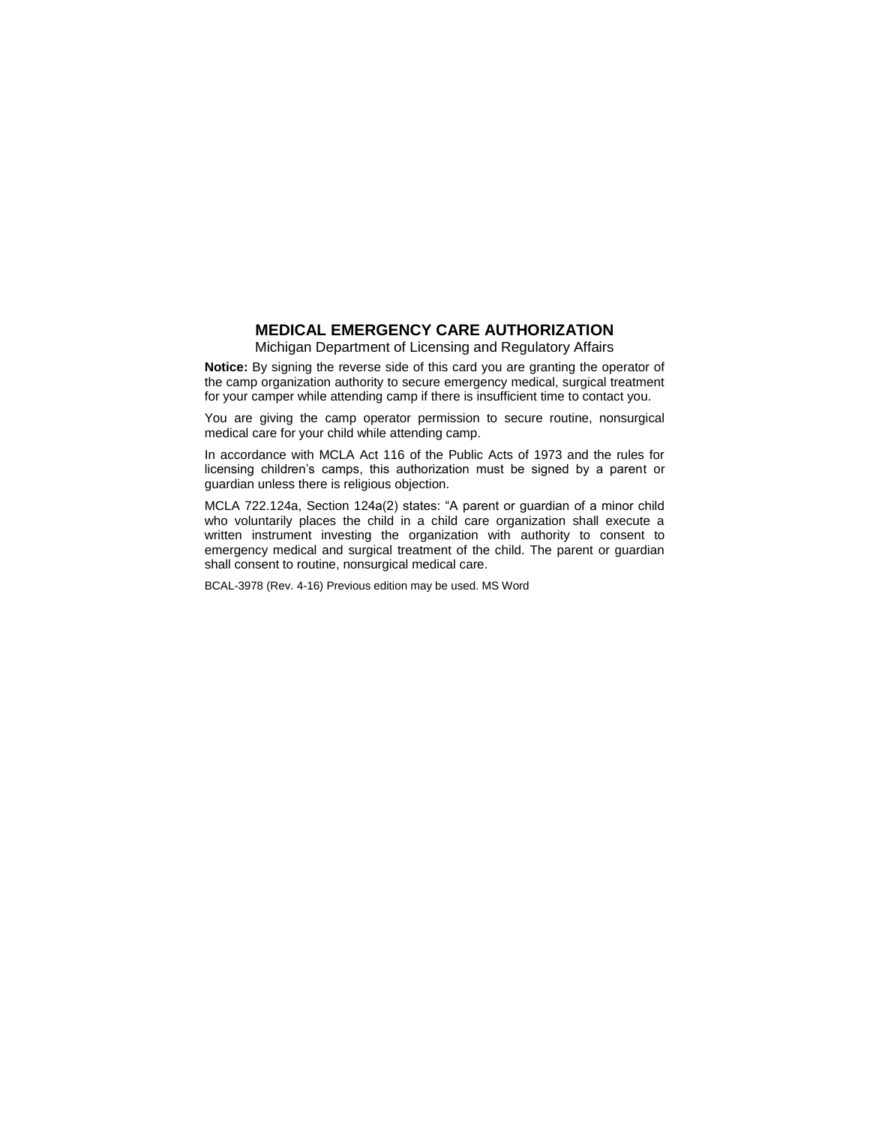## **MEDICAL EMERGENCY CARE AUTHORIZATION**

Michigan Department of Licensing and Regulatory Affairs

**Notice:** By signing the reverse side of this card you are granting the operator of the camp organization authority to secure emergency medical, surgical treatment for your camper while attending camp if there is insufficient time to contact you.

You are giving the camp operator permission to secure routine, nonsurgical medical care for your child while attending camp.

In accordance with MCLA Act 116 of the Public Acts of 1973 and the rules for licensing children's camps, this authorization must be signed by a parent or guardian unless there is religious objection.

MCLA 722.124a, Section 124a(2) states: "A parent or guardian of a minor child who voluntarily places the child in a child care organization shall execute a written instrument investing the organization with authority to consent to emergency medical and surgical treatment of the child. The parent or guardian shall consent to routine, nonsurgical medical care.

BCAL-3978 (Rev. 4-16) Previous edition may be used. MS Word